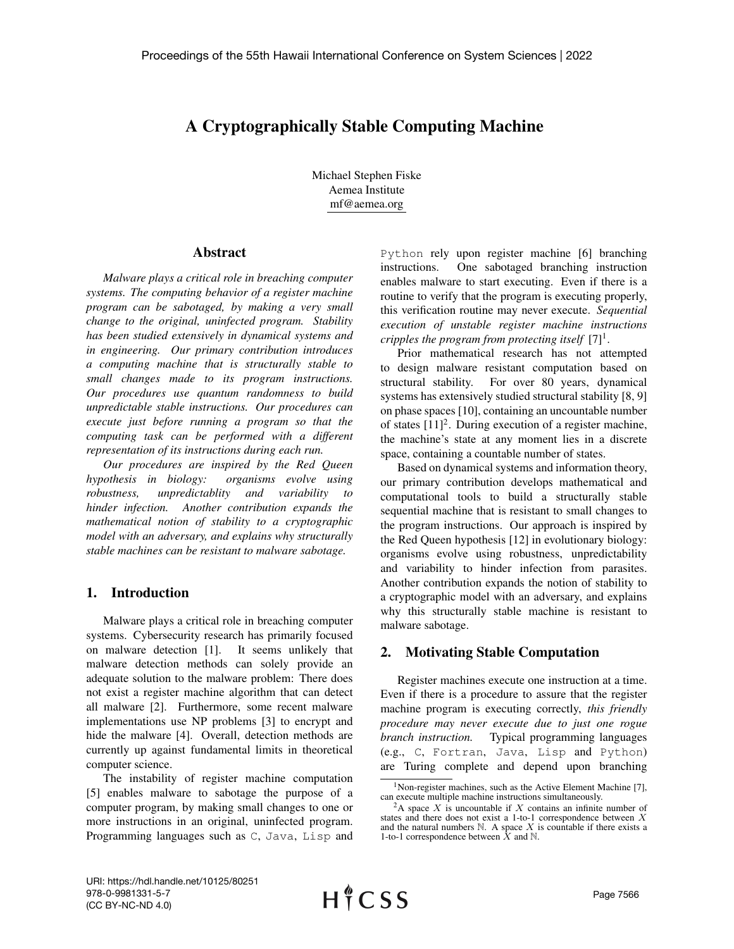# A Cryptographically Stable Computing Machine

Michael Stephen Fiske Aemea Institute mf@aemea.org

### Abstract

*Malware plays a critical role in breaching computer systems. The computing behavior of a register machine program can be sabotaged, by making a very small change to the original, uninfected program. Stability has been studied extensively in dynamical systems and in engineering. Our primary contribution introduces a computing machine that is structurally stable to small changes made to its program instructions. Our procedures use quantum randomness to build unpredictable stable instructions. Our procedures can execute just before running a program so that the computing task can be performed with a different representation of its instructions during each run.*

*Our procedures are inspired by the Red Queen hypothesis in biology: organisms evolve using robustness, unpredictablity and variability to hinder infection. Another contribution expands the mathematical notion of stability to a cryptographic model with an adversary, and explains why structurally stable machines can be resistant to malware sabotage.*

## 1. Introduction

Malware plays a critical role in breaching computer systems. Cybersecurity research has primarily focused on malware detection [1]. It seems unlikely that malware detection methods can solely provide an adequate solution to the malware problem: There does not exist a register machine algorithm that can detect all malware [2]. Furthermore, some recent malware implementations use NP problems [3] to encrypt and hide the malware [4]. Overall, detection methods are currently up against fundamental limits in theoretical computer science.

The instability of register machine computation [5] enables malware to sabotage the purpose of a computer program, by making small changes to one or more instructions in an original, uninfected program. Programming languages such as C, Java, Lisp and Python rely upon register machine [6] branching instructions. One sabotaged branching instruction enables malware to start executing. Even if there is a routine to verify that the program is executing properly, this verification routine may never execute. *Sequential execution of unstable register machine instructions cripples the program from protecting itself*  $[7]^1$ .

Prior mathematical research has not attempted to design malware resistant computation based on structural stability. For over 80 years, dynamical systems has extensively studied structural stability [8, 9] on phase spaces [10], containing an uncountable number of states  $[11]^2$ . During execution of a register machine, the machine's state at any moment lies in a discrete space, containing a countable number of states.

Based on dynamical systems and information theory, our primary contribution develops mathematical and computational tools to build a structurally stable sequential machine that is resistant to small changes to the program instructions. Our approach is inspired by the Red Queen hypothesis [12] in evolutionary biology: organisms evolve using robustness, unpredictability and variability to hinder infection from parasites. Another contribution expands the notion of stability to a cryptographic model with an adversary, and explains why this structurally stable machine is resistant to malware sabotage.

## 2. Motivating Stable Computation

Register machines execute one instruction at a time. Even if there is a procedure to assure that the register machine program is executing correctly, *this friendly procedure may never execute due to just one rogue branch instruction.* Typical programming languages (e.g., C, Fortran, Java, Lisp and Python) are Turing complete and depend upon branching

<sup>&</sup>lt;sup>1</sup>Non-register machines, such as the Active Element Machine [7], can execute multiple machine instructions simultaneously.

<sup>&</sup>lt;sup>2</sup>A space *X* is uncountable if *X* contains an infinite number of states and there does not exist a 1-to-1 correspondence between  $X$  and the natural numbers  $N$ . A space  $X$  is countable if there exists a 1-to-1 correspondence between  $\bar{X}$  and  $\mathbb{N}$ .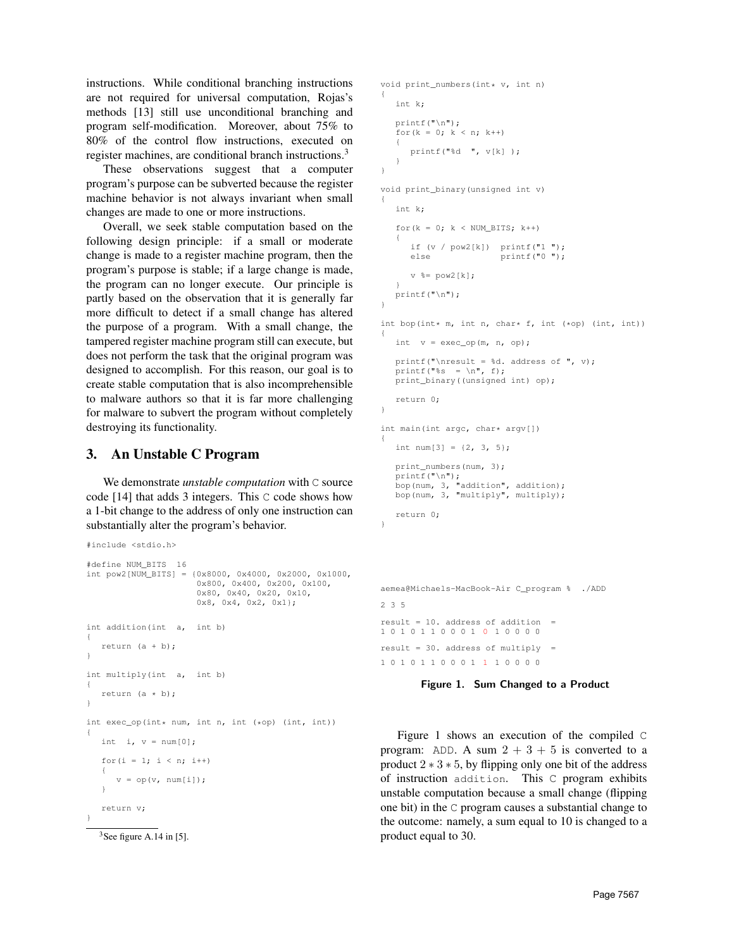instructions. While conditional branching instructions are not required for universal computation, Rojas's methods [13] still use unconditional branching and program self-modification. Moreover, about 75% to 80% of the control flow instructions, executed on register machines, are conditional branch instructions.<sup>3</sup>

These observations suggest that a computer program's purpose can be subverted because the register machine behavior is not always invariant when small changes are made to one or more instructions.

Overall, we seek stable computation based on the following design principle: if a small or moderate change is made to a register machine program, then the program's purpose is stable; if a large change is made, the program can no longer execute. Our principle is partly based on the observation that it is generally far more difficult to detect if a small change has altered the purpose of a program. With a small change, the tampered register machine program still can execute, but does not perform the task that the original program was designed to accomplish. For this reason, our goal is to create stable computation that is also incomprehensible to malware authors so that it is far more challenging for malware to subvert the program without completely destroying its functionality.

# 3. An Unstable C Program

We demonstrate *unstable computation* with C source code [14] that adds 3 integers. This C code shows how a 1-bit change to the address of only one instruction can substantially alter the program's behavior.

```
#include <stdio.h>
#define NUM_BITS 16
int pow2[NUM_BITS] = {0x8000, 0x4000, 0x2000, 0x1000,
                      0x800, 0x400, 0x200, 0x100,
                      0x80, 0x40, 0x20, 0x10,
                      0x8, 0x4, 0x2, 0x1};
int addition(int a, int b)
{
   return (a + b);
}
int multiply(int a, int b)
∫
   return (a * b);
}
int exec_op(int* num, int n, int (*op) (int, int))
{
  int i, v = num[0];
   for(i = 1; i < n; i++)
   {
      v = op(v, num[i]);}
  return v;
}
```
 $3$ See figure A.14 in [5].

```
void print_numbers(int* v, int n)
{
   int k;
   printf("\n");
   for(k = 0; k < n; k++)
   {
      printf("%d ", v[k] );
   }
}
void print_binary(unsigned int v)
{
   int k;
   for(k = 0; k < NUM BITS; k++)
   {
      if (v / pow2[k]) printf("1");
      else printf("0");
      v %= pow2[k];
   }
printf("\n");
}
int bop(int* m, int n, char* f, int (*op) (int, int))
{
   int v = exec op(m, n, op);
   printf("\nresult = %d. address of ", v);
   printf("%s = \ln", f);
   print_binary((unsigned int) op);
   return 0;
}
int main(int argc, char* argv[])
{
   int num[3] = \{2, 3, 5\};
   print_numbers(num, 3);
   printf("\n");
bop(num, 3, "addition", addition);
   bop(num, 3, "multiply", multiply);
   return 0;
}
```
aemea@Michaels-MacBook-Air C\_program % ./ADD  $2 3 5$ result =  $10$ . address of addition 1 0 1 0 1 1 0 0 0 1 0 1 0 0 0 0 result = 30. address of multiply = 1 0 1 0 1 1 0 0 0 1 1 1 0 0 0 0

## Figure 1. Sum Changed to a Product

Figure 1 shows an execution of the compiled C program: ADD. A sum  $2 + 3 + 5$  is converted to a product  $2 \times 3 \times 5$ , by flipping only one bit of the address of instruction addition. This C program exhibits unstable computation because a small change (flipping one bit) in the C program causes a substantial change to the outcome: namely, a sum equal to 10 is changed to a product equal to 30.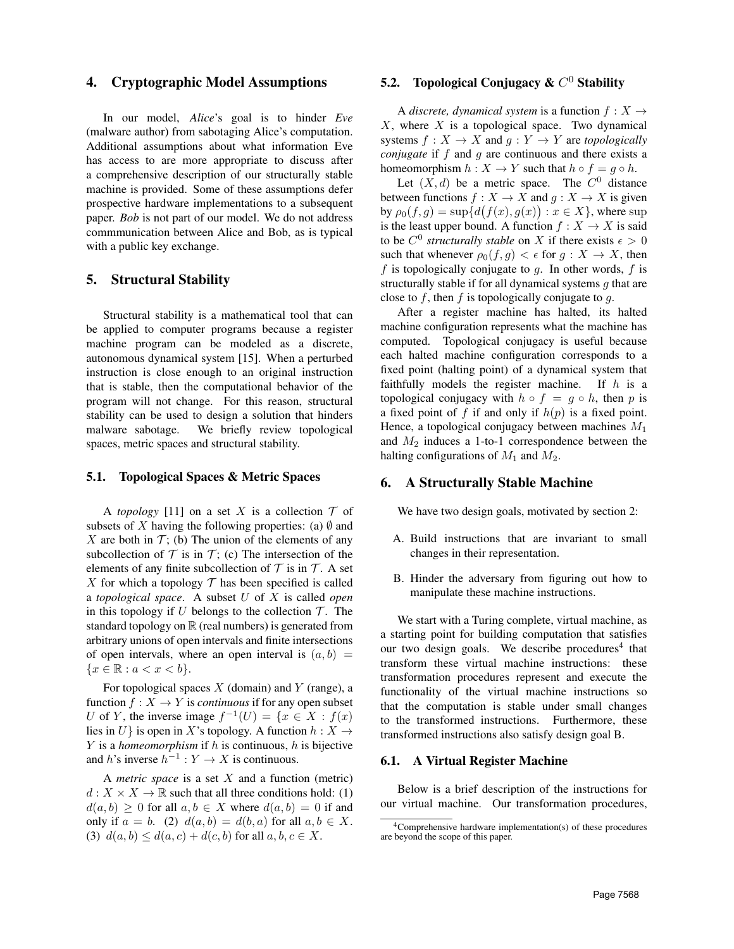## 4. Cryptographic Model Assumptions

In our model, *Alice*'s goal is to hinder *Eve* (malware author) from sabotaging Alice's computation. Additional assumptions about what information Eve has access to are more appropriate to discuss after a comprehensive description of our structurally stable machine is provided. Some of these assumptions defer prospective hardware implementations to a subsequent paper. *Bob* is not part of our model. We do not address commmunication between Alice and Bob, as is typical with a public key exchange.

#### 5. Structural Stability

Structural stability is a mathematical tool that can be applied to computer programs because a register machine program can be modeled as a discrete, autonomous dynamical system [15]. When a perturbed instruction is close enough to an original instruction that is stable, then the computational behavior of the program will not change. For this reason, structural stability can be used to design a solution that hinders malware sabotage. We briefly review topological spaces, metric spaces and structural stability.

#### 5.1. Topological Spaces & Metric Spaces

A *topology* [11] on a set X is a collection  $\mathcal T$  of subsets of X having the following properties: (a)  $\emptyset$  and X are both in  $\mathcal{T}$ ; (b) The union of the elements of any subcollection of  $T$  is in  $T$ ; (c) The intersection of the elements of any finite subcollection of  $T$  is in  $T$ . A set X for which a topology  $\mathcal T$  has been specified is called a *topological space*. A subset U of X is called *open* in this topology if  $U$  belongs to the collection  $T$ . The standard topology on  $\mathbb R$  (real numbers) is generated from arbitrary unions of open intervals and finite intersections of open intervals, where an open interval is  $(a, b)$  =  ${x \in \mathbb{R} : a < x < b}.$ 

For topological spaces  $X$  (domain) and  $Y$  (range), a function  $f: X \to Y$  is *continuous* if for any open subset U of Y, the inverse image  $f^{-1}(U) = \{x \in X : f(x)$ lies in U} is open in X's topology. A function  $h: X \rightarrow$  $Y$  is a *homeomorphism* if  $h$  is continuous,  $h$  is bijective and h's inverse  $h^{-1}: Y \to X$  is continuous.

A *metric space* is a set X and a function (metric)  $d: X \times X \to \mathbb{R}$  such that all three conditions hold: (1)  $d(a, b) \geq 0$  for all  $a, b \in X$  where  $d(a, b) = 0$  if and only if  $a = b$ . (2)  $d(a, b) = d(b, a)$  for all  $a, b \in X$ . (3)  $d(a, b) \leq d(a, c) + d(c, b)$  for all  $a, b, c \in X$ .

# 5.2. Topological Conjugacy &  $C^0$  Stability

A *discrete, dynamical system* is a function  $f : X \rightarrow$  $X$ , where  $X$  is a topological space. Two dynamical systems  $f : X \to X$  and  $g : Y \to Y$  are *topologically conjugate* if f and q are continuous and there exists a homeomorphism  $h: X \to Y$  such that  $h \circ f = g \circ h$ .

Let  $(X, d)$  be a metric space. The  $C^0$  distance between functions  $f : X \to X$  and  $g : X \to X$  is given by  $\rho_0(f,g) = \sup \{ d\big(f(x),g(x)\big) : x \in X \}$ , where  $\sup$ is the least upper bound. A function  $f : X \to X$  is said to be  $C^0$  *structurally stable* on X if there exists  $\epsilon > 0$ such that whenever  $\rho_0(f,g) < \epsilon$  for  $g: X \to X$ , then  $f$  is topologically conjugate to  $g$ . In other words,  $f$  is structurally stable if for all dynamical systems  $g$  that are close to f, then f is topologically conjugate to q.

After a register machine has halted, its halted machine configuration represents what the machine has computed. Topological conjugacy is useful because each halted machine configuration corresponds to a fixed point (halting point) of a dynamical system that faithfully models the register machine. If  $h$  is a topological conjugacy with  $h \circ f = g \circ h$ , then p is a fixed point of f if and only if  $h(p)$  is a fixed point. Hence, a topological conjugacy between machines  $M_1$ and  $M_2$  induces a 1-to-1 correspondence between the halting configurations of  $M_1$  and  $M_2$ .

## 6. A Structurally Stable Machine

We have two design goals, motivated by section 2:

- A. Build instructions that are invariant to small changes in their representation.
- B. Hinder the adversary from figuring out how to manipulate these machine instructions.

We start with a Turing complete, virtual machine, as a starting point for building computation that satisfies our two design goals. We describe procedures<sup>4</sup> that transform these virtual machine instructions: these transformation procedures represent and execute the functionality of the virtual machine instructions so that the computation is stable under small changes to the transformed instructions. Furthermore, these transformed instructions also satisfy design goal B.

#### 6.1. A Virtual Register Machine

Below is a brief description of the instructions for our virtual machine. Our transformation procedures,

<sup>4</sup>Comprehensive hardware implementation(s) of these procedures are beyond the scope of this paper.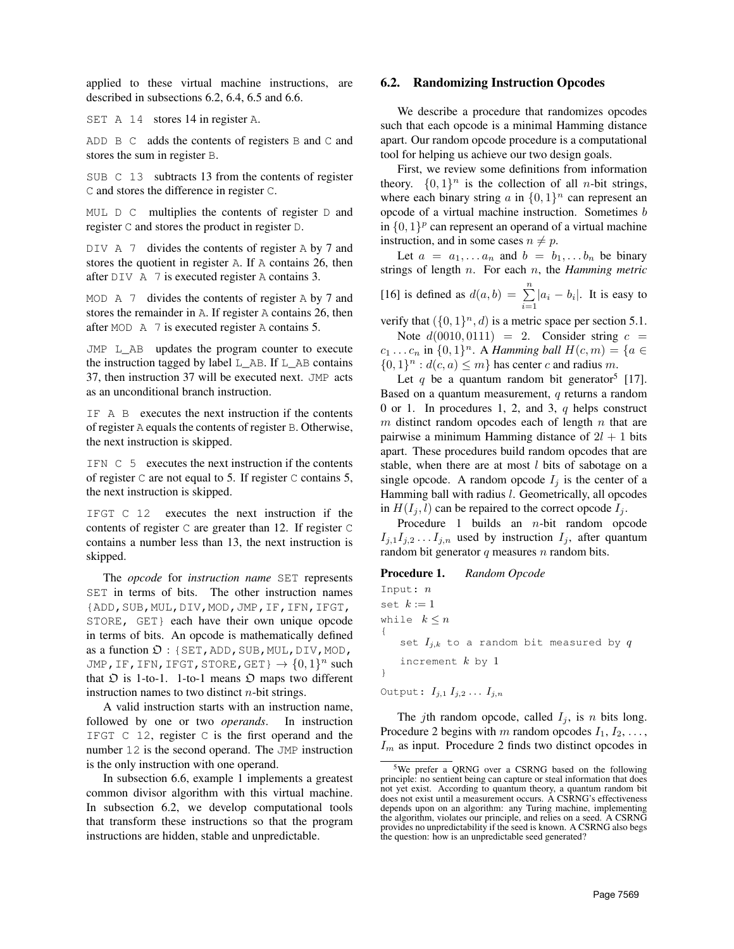applied to these virtual machine instructions, are described in subsections 6.2, 6.4, 6.5 and 6.6.

SET A 14 stores 14 in register A.

ADD  $\overline{B}$  C adds the contents of registers  $\overline{B}$  and  $\overline{C}$  and stores the sum in register B.

SUB C 13 subtracts 13 from the contents of register C and stores the difference in register C.

MUL  $\Box$  C multiplies the contents of register  $\Box$  and register C and stores the product in register D.

DIV A 7 divides the contents of register A by 7 and stores the quotient in register A. If A contains 26, then after DIV A 7 is executed register A contains 3.

MOD  $\land$  7 divides the contents of register  $\land$  by 7 and stores the remainder in A. If register A contains 26, then after MOD A 7 is executed register A contains 5.

JMP L\_AB updates the program counter to execute the instruction tagged by label L\_AB. If L\_AB contains 37, then instruction 37 will be executed next. JMP acts as an unconditional branch instruction.

IF A B executes the next instruction if the contents of register A equals the contents of register B. Otherwise, the next instruction is skipped.

IFN C 5 executes the next instruction if the contents of register C are not equal to 5. If register C contains 5, the next instruction is skipped.

IFGT C 12 executes the next instruction if the contents of register C are greater than 12. If register C contains a number less than 13, the next instruction is skipped.

The *opcode* for *instruction name* SET represents SET in terms of bits. The other instruction names {ADD,SUB,MUL,DIV,MOD,JMP,IF,IFN,IFGT, STORE, GET} each have their own unique opcode in terms of bits. An opcode is mathematically defined as a function  $\mathfrak{D}$  : {SET, ADD, SUB, MUL, DIV, MOD, JMP,IF,IFN,IFGT,STORE,GET}  $\rightarrow \{0,1\}^n$  such that  $\mathfrak D$  is 1-to-1. 1-to-1 means  $\mathfrak D$  maps two different instruction names to two distinct  $n$ -bit strings.

A valid instruction starts with an instruction name, followed by one or two *operands*. In instruction IFGT C 12, register C is the first operand and the number 12 is the second operand. The JMP instruction is the only instruction with one operand.

In subsection 6.6, example 1 implements a greatest common divisor algorithm with this virtual machine. In subsection 6.2, we develop computational tools that transform these instructions so that the program instructions are hidden, stable and unpredictable.

#### 6.2. Randomizing Instruction Opcodes

We describe a procedure that randomizes opcodes such that each opcode is a minimal Hamming distance apart. Our random opcode procedure is a computational tool for helping us achieve our two design goals.

First, we review some definitions from information theory.  $\{0, 1\}^n$  is the collection of all *n*-bit strings, where each binary string a in  $\{0, 1\}^n$  can represent an opcode of a virtual machine instruction. Sometimes b in  $\{0, 1\}^p$  can represent an operand of a virtual machine instruction, and in some cases  $n \neq p$ .

Let  $a = a_1, \ldots a_n$  and  $b = b_1, \ldots b_n$  be binary strings of length n. For each n, the *Hamming metric* [16] is defined as  $d(a, b) = \sum_{i=1}^{n} |a_i - b_i|$ . It is easy to

verify that  $({0, 1}^n, d)$  is a metric space per section 5.1.

Note  $d(0010, 0111) = 2$ . Consider string  $c =$  $c_1 \ldots c_n$  in  $\{0,1\}^n$ . A *Hamming ball*  $H(c, m) = \{a \in$  $\{0,1\}^n : d(c,a) \leq m\}$  has center c and radius m.

Let q be a quantum random bit generator<sup>5</sup> [17]. Based on a quantum measurement,  $q$  returns a random 0 or 1. In procedures 1, 2, and 3, q helps construct  $m$  distinct random opcodes each of length  $n$  that are pairwise a minimum Hamming distance of  $2l + 1$  bits apart. These procedures build random opcodes that are stable, when there are at most  $l$  bits of sabotage on a single opcode. A random opcode  $I_j$  is the center of a Hamming ball with radius *l*. Geometrically, all opcodes in  $H(I_i, l)$  can be repaired to the correct opcode  $I_i$ .

Procedure 1 builds an n-bit random opcode  $I_{j,1}I_{j,2} \ldots I_{j,n}$  used by instruction  $I_j$ , after quantum random bit generator  $q$  measures  $n$  random bits.

#### Procedure 1. *Random Opcode*

Input: n set  $k := 1$ while  $k \leq n$ { set  $I_{j,k}$  to a random bit measured by  $q$ increment  $k$  by 1 }

Output:  $I_{j,1} I_{j,2} \ldots I_{j,n}$ 

The *j*th random opcode, called  $I_j$ , is *n* bits long. Procedure 2 begins with m random opcodes  $I_1, I_2, \ldots$ ,  $I_m$  as input. Procedure 2 finds two distinct opcodes in

<sup>5</sup>We prefer a QRNG over a CSRNG based on the following principle: no sentient being can capture or steal information that does not yet exist. According to quantum theory, a quantum random bit does not exist until a measurement occurs. A CSRNG's effectiveness depends upon on an algorithm: any Turing machine, implementing the algorithm, violates our principle, and relies on a seed. A CSRNG provides no unpredictability if the seed is known. A CSRNG also begs the question: how is an unpredictable seed generated?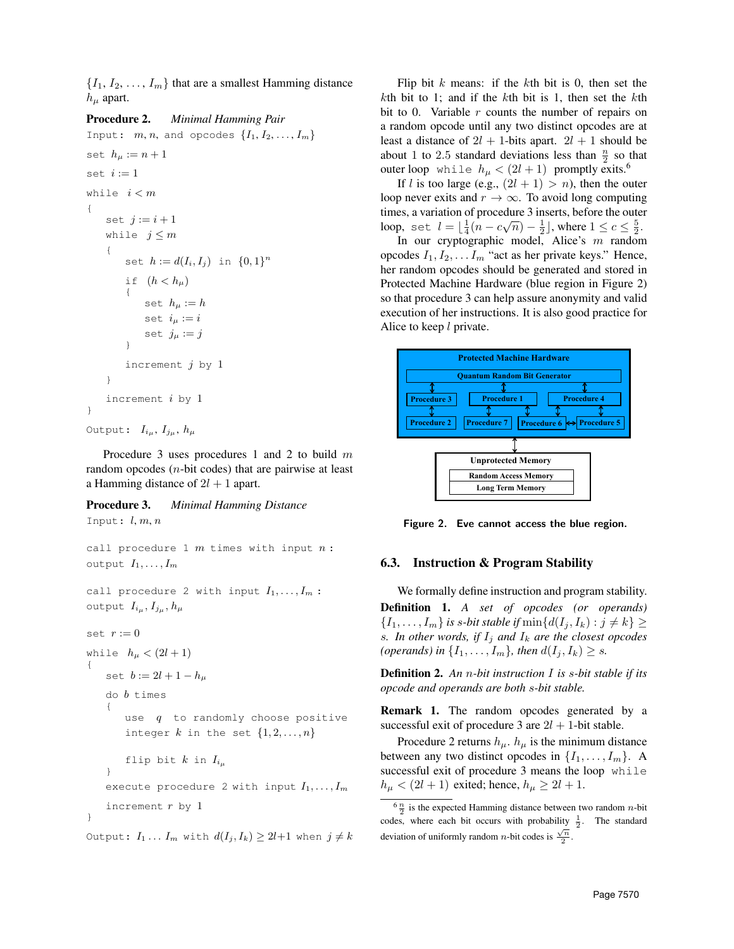$\{I_1, I_2, \ldots, I_m\}$  that are a smallest Hamming distance  $h_{\mu}$  apart.

## Procedure 2. *Minimal Hamming Pair*

```
Input: m, n, and opcodes \{I_1, I_2, \ldots, I_m\}set h_{\mu} := n + 1set i := 1while i < m{
    set j := i + 1while j \leq m{
        set h := d(I_i, I_j) in \{0, 1\}^nif (h < h<sub>u</sub>){
            set h_\mu := hset i_{\mu} := iset j_{\mu} := j}
        increment j by 1}
    increment i by 1
}
```

```
Output: I_{i_{\mu}}, I_{j_{\mu}}, h_{\mu}
```
Procedure 3 uses procedures 1 and 2 to build m random opcodes  $(n$ -bit codes) that are pairwise at least a Hamming distance of  $2l + 1$  apart.

# Procedure 3. *Minimal Hamming Distance* Input:  $l, m, n$

```
call procedure 1 m times with input n:
output I_1, \ldots, I_mcall procedure 2 with input I_1, \ldots, I_m:
output I_{i_{\mu}}, I_{j_{\mu}}, h_{\mu}set r := 0while h_{\mu} < (2l + 1){
   set b := 2l + 1 - h_udo b times
    {
       use q to randomly choose positive
       integer k in the set \{1, 2, ..., n\}flip bit k in I_{i,j}}
   execute procedure 2 with input I_1, \ldots, I_mincrement r by 1}
```
Output:  $I_1 \ldots I_m$  with  $d(I_j, I_k) \geq 2l+1$  when  $j \neq k$ 

Flip bit  $k$  means: if the  $k$ th bit is 0, then set the kth bit to 1; and if the kth bit is 1, then set the kth bit to 0. Variable  $r$  counts the number of repairs on a random opcode until any two distinct opcodes are at least a distance of  $2l + 1$ -bits apart.  $2l + 1$  should be about 1 to 2.5 standard deviations less than  $\frac{n}{2}$  so that outer loop while  $h_{\mu} < (2l + 1)$  promptly exits.<sup>6</sup>

If l is too large (e.g.,  $(2l + 1) > n$ ), then the outer loop never exits and  $r \to \infty$ . To avoid long computing times, a variation of procedure 3 inserts, before the outer three, a variation of procedure 5 inserts, before the other<br>loop, set  $l = \lfloor \frac{1}{4}(n - c\sqrt{n}) - \frac{1}{2} \rfloor$ , where  $1 \le c \le \frac{5}{2}$ .

In our cryptographic model, Alice's  $m$  random opcodes  $I_1, I_2, \ldots I_m$  "act as her private keys." Hence, her random opcodes should be generated and stored in Protected Machine Hardware (blue region in Figure 2) so that procedure 3 can help assure anonymity and valid execution of her instructions. It is also good practice for Alice to keep  $l$  private.



Figure 2. Eve cannot access the blue region.

# 6.3. Instruction & Program Stability

We formally define instruction and program stability. Definition 1. *A set of opcodes (or operands)*  $\{I_1, \ldots, I_m\}$  *is s-bit stable if*  $\min\{d(I_j, I_k) : j \neq k\} \geq 0$ *s. In other words, if*  $I_i$  *and*  $I_k$  *are the closest opcodes (operands) in*  $\{I_1, \ldots, I_m\}$ *, then*  $d(I_i, I_k) \geq s$ *.* 

Definition 2. *An* n*-bit instruction* I *is* s*-bit stable if its opcode and operands are both* s*-bit stable.*

Remark 1. The random opcodes generated by a successful exit of procedure 3 are  $2l + 1$ -bit stable.

Procedure 2 returns  $h_{\mu}$ .  $h_{\mu}$  is the minimum distance between any two distinct opcodes in  $\{I_1, \ldots, I_m\}$ . A successful exit of procedure 3 means the loop while  $h_{\mu} < (2l+1)$  exited; hence,  $h_{\mu} \geq 2l+1$ .

 $\frac{6}{2}$  is the expected Hamming distance between two random *n*-bit codes, where each bit occurs with probability  $\frac{1}{2}$ . The standard deviation of uniformly random *n*-bit codes is  $\frac{\sqrt{n}}{2}$ .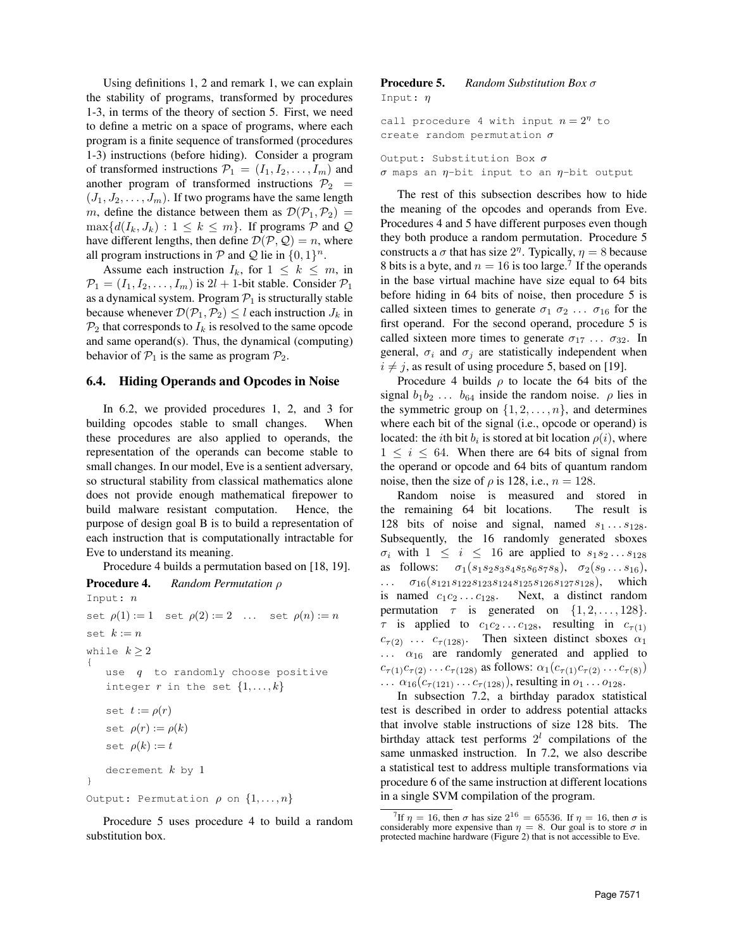Using definitions 1, 2 and remark 1, we can explain the stability of programs, transformed by procedures 1-3, in terms of the theory of section 5. First, we need to define a metric on a space of programs, where each program is a finite sequence of transformed (procedures 1-3) instructions (before hiding). Consider a program of transformed instructions  $\mathcal{P}_1 = (I_1, I_2, \dots, I_m)$  and another program of transformed instructions  $\mathcal{P}_2$  =  $(J_1, J_2, \ldots, J_m)$ . If two programs have the same length m, define the distance between them as  $\mathcal{D}(\mathcal{P}_1,\mathcal{P}_2)$  =  $\max\{d(I_k, J_k) : 1 \leq k \leq m\}$ . If programs P and Q have different lengths, then define  $\mathcal{D}(\mathcal{P}, \mathcal{Q}) = n$ , where all program instructions in  $P$  and  $Q$  lie in  $\{0, 1\}^n$ .

Assume each instruction  $I_k$ , for  $1 \leq k \leq m$ , in  $\mathcal{P}_1 = (I_1, I_2, \dots, I_m)$  is  $2l + 1$ -bit stable. Consider  $\mathcal{P}_1$ as a dynamical system. Program  $P_1$  is structurally stable because whenever  $\mathcal{D}(\mathcal{P}_1,\mathcal{P}_2) \leq l$  each instruction  $J_k$  in  $\mathcal{P}_2$  that corresponds to  $I_k$  is resolved to the same opcode and same operand(s). Thus, the dynamical (computing) behavior of  $P_1$  is the same as program  $P_2$ .

#### 6.4. Hiding Operands and Opcodes in Noise

In 6.2, we provided procedures 1, 2, and 3 for building opcodes stable to small changes. When these procedures are also applied to operands, the representation of the operands can become stable to small changes. In our model, Eve is a sentient adversary, so structural stability from classical mathematics alone does not provide enough mathematical firepower to build malware resistant computation. Hence, the purpose of design goal B is to build a representation of each instruction that is computationally intractable for Eve to understand its meaning.

Procedure 4 builds a permutation based on [18, 19].

```
Procedure 4. Random Permutation ρ
Input: n
set \rho(1) := 1 set \rho(2) := 2 ... set \rho(n) := nset k := nwhile k > 2{
   use q to randomly choose positive
   integer r in the set \{1, \ldots, k\}set t := \rho(r)set \rho(r) := \rho(k)set \rho(k) := tdecrement k by 1
}
Output: Permutation \rho on \{1, \ldots, n\}
```
Procedure 5 uses procedure 4 to build a random substitution box.

#### Procedure 5. *Random Substitution Box* σ Input: η

```
call procedure 4 with input n = 2<sup>\eta</sup> to
create random permutation \sigma
```
Output: Substitution Box  $\sigma$  $\sigma$  maps an  $\eta$ -bit input to an  $\eta$ -bit output

The rest of this subsection describes how to hide the meaning of the opcodes and operands from Eve. Procedures 4 and 5 have different purposes even though they both produce a random permutation. Procedure 5 constructs a  $\sigma$  that has size  $2<sup>\eta</sup>$ . Typically,  $\eta = 8$  because 8 bits is a byte, and  $n = 16$  is too large.<sup>7</sup> If the operands in the base virtual machine have size equal to 64 bits before hiding in 64 bits of noise, then procedure 5 is called sixteen times to generate  $\sigma_1$   $\sigma_2$  ...  $\sigma_{16}$  for the first operand. For the second operand, procedure 5 is called sixteen more times to generate  $\sigma_{17} \dots \sigma_{32}$ . In general,  $\sigma_i$  and  $\sigma_j$  are statistically independent when  $i \neq j$ , as result of using procedure 5, based on [19].

Procedure 4 builds  $\rho$  to locate the 64 bits of the signal  $b_1b_2 \ldots b_{64}$  inside the random noise.  $\rho$  lies in the symmetric group on  $\{1, 2, \ldots, n\}$ , and determines where each bit of the signal (i.e., opcode or operand) is located: the *i*th bit  $b_i$  is stored at bit location  $\rho(i)$ , where  $1 \leq i \leq 64$ . When there are 64 bits of signal from the operand or opcode and 64 bits of quantum random noise, then the size of  $\rho$  is 128, i.e.,  $n = 128$ .

Random noise is measured and stored in the remaining 64 bit locations. The result is 128 bits of noise and signal, named  $s_1 \ldots s_{128}$ . Subsequently, the 16 randomly generated sboxes  $\sigma_i$  with  $1 \leq i \leq 16$  are applied to  $s_1 s_2 \ldots s_{128}$ as follows:  $\sigma_1(s_1s_2s_3s_4s_5s_6s_7s_8), \sigma_2(s_9 \ldots s_{16}),$  $\ldots$   $\sigma_{16}(s_{121}s_{122}s_{123}s_{124}s_{125}s_{126}s_{127}s_{128}),$  which is named  $c_1c_2 \ldots c_{128}$ . Next, a distinct random permutation  $\tau$  is generated on  $\{1, 2, \ldots, 128\}.$  $\tau$  is applied to  $c_1c_2 \ldots c_{128}$ , resulting in  $c_{\tau(1)}$  $c_{\tau(2)}$  ...  $c_{\tau(128)}$ . Then sixteen distinct sboxes  $\alpha_1$  $\ldots$   $\alpha_{16}$  are randomly generated and applied to  $c_{\tau(1)}c_{\tau(2)} \dots c_{\tau(128)}$  as follows:  $\alpha_1(c_{\tau(1)}c_{\tau(2)} \dots c_{\tau(8)})$  $\ldots \alpha_{16}(c_{\tau(121)} \ldots c_{\tau(128)}),$  resulting in  $o_1 \ldots o_{128}.$ 

In subsection 7.2, a birthday paradox statistical test is described in order to address potential attacks that involve stable instructions of size 128 bits. The birthday attack test performs  $2<sup>l</sup>$  compilations of the same unmasked instruction. In 7.2, we also describe a statistical test to address multiple transformations via procedure 6 of the same instruction at different locations in a single SVM compilation of the program.

<sup>&</sup>lt;sup>7</sup>If  $\eta = 16$ , then  $\sigma$  has size  $2^{16} = 65536$ . If  $\eta = 16$ , then  $\sigma$  is considerably more expensive than  $\eta = 8$ . Our goal is to store  $\sigma$  in protected machine hardware (Figure 2) that is not accessible to Eve.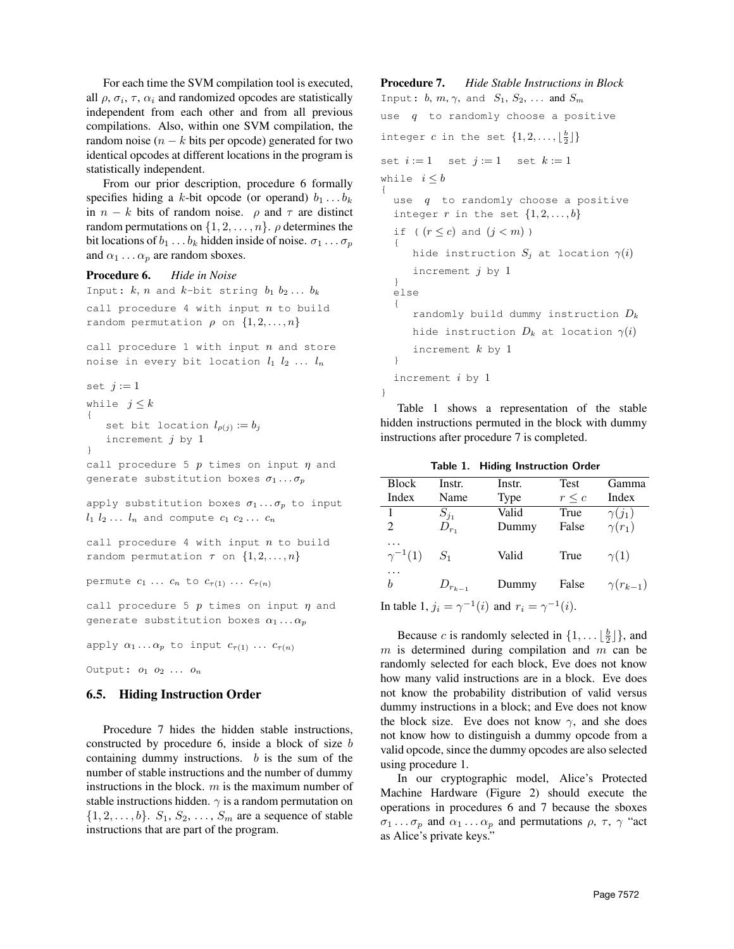For each time the SVM compilation tool is executed, all  $\rho$ ,  $\sigma_i$ ,  $\tau$ ,  $\alpha_i$  and randomized opcodes are statistically independent from each other and from all previous compilations. Also, within one SVM compilation, the random noise  $(n - k)$  bits per opcode) generated for two identical opcodes at different locations in the program is statistically independent.

From our prior description, procedure 6 formally specifies hiding a k-bit opcode (or operand)  $b_1 \ldots b_k$ in  $n - k$  bits of random noise.  $\rho$  and  $\tau$  are distinct random permutations on  $\{1, 2, \ldots, n\}$ .  $\rho$  determines the bit locations of  $b_1 \ldots b_k$  hidden inside of noise.  $\sigma_1 \ldots \sigma_p$ and  $\alpha_1 \ldots \alpha_p$  are random sboxes.

#### Procedure 6. *Hide in Noise*

```
Input: k, n and k-bit string b_1 b_2... b_kcall procedure 4 with input n to build
random permutation \rho on \{1, 2, ..., n\}
```
call procedure 1 with input  $n$  and store noise in every bit location  $l_1$   $l_2$  ...  $l_n$ 

```
set j := 1
```
}

```
while j \leq k{
   set bit location l_{\rho(j)} := b_jincrement j by 1
```
call procedure 5  $p$  times on input  $\eta$  and generate substitution boxes  $\sigma_1 \dots \sigma_p$ 

apply substitution boxes  $\sigma_1 \dots \sigma_p$  to input  $l_1$   $l_2$ ...  $l_n$  and compute  $c_1$   $c_2$ ...  $c_n$ 

call procedure 4 with input  $n$  to build random permutation  $\tau$  on  $\{1, 2, ..., n\}$ 

permute  $c_1 \ldots c_n$  to  $c_{\tau(1)} \ldots c_{\tau(n)}$ 

call procedure 5  $p$  times on input  $\eta$  and generate substitution boxes  $\alpha_1 \dots \alpha_p$ 

apply  $\alpha_1 \ldots \alpha_p$  to input  $c_{\tau(1)} \ldots c_{\tau(n)}$ 

Output:  $o_1$   $o_2$  ...  $o_n$ 

# 6.5. Hiding Instruction Order

Procedure 7 hides the hidden stable instructions, constructed by procedure 6, inside a block of size b containing dummy instructions.  $b$  is the sum of the number of stable instructions and the number of dummy instructions in the block.  $m$  is the maximum number of stable instructions hidden.  $\gamma$  is a random permutation on  $\{1, 2, \ldots, b\}$ .  $S_1, S_2, \ldots, S_m$  are a sequence of stable instructions that are part of the program.

Procedure 7. *Hide Stable Instructions in Block* Input:  $b, m, \gamma$ , and  $S_1, S_2, \ldots$  and  $S_m$ use  $q$  to randomly choose a positive integer  $c$  in the set  $\{1, 2, ..., \lfloor\frac{b}{2}\rfloor\}$ set  $i := 1$  set  $j := 1$  set  $k := 1$ while  $i \leq b$ { use  $q$  to randomly choose a positive integer r in the set  $\{1, 2, \ldots, b\}$ if (  $(r \leq c)$  and  $(j < m)$  ) { hide instruction  $S_j$  at location  $\gamma(i)$ increment  $j$  by  $1$ } else { randomly build dummy instruction  $D_k$ hide instruction  $D_k$  at location  $\gamma(i)$ increment  $k$  by 1 } increment i by 1

Table 1 shows a representation of the stable hidden instructions permuted in the block with dummy instructions after procedure 7 is completed.

}

|  |  | Table 1. Hiding Instruction Order |  |
|--|--|-----------------------------------|--|
|--|--|-----------------------------------|--|

| <b>Block</b>                                                    | Instr.        | Instr. | Test       | Gamma             |  |  |
|-----------------------------------------------------------------|---------------|--------|------------|-------------------|--|--|
| Index                                                           | Name          | Type   | $r \leq c$ | Index             |  |  |
| 1                                                               | $S_{j_1}$     | Valid  | True       | $\gamma(j_1)$     |  |  |
| $\mathcal{D}_{\mathcal{L}}$                                     | $D_{r_1}$     | Dummy  | False      | $\gamma(r_1)$     |  |  |
| $\gamma^{-1}(1)$                                                | $S_1$         | Valid  | True       | $\gamma(1)$       |  |  |
| .<br>b                                                          | $D_{r_{k-1}}$ | Dummy  | False      | $\gamma(r_{k-1})$ |  |  |
| In table 1, $j_i = \gamma^{-1}(i)$ and $r_i = \gamma^{-1}(i)$ . |               |        |            |                   |  |  |

Because *c* is randomly selected in  $\{1, \dots \lfloor \frac{b}{2} \rfloor \}$ , and  $m$  is determined during compilation and  $m$  can be randomly selected for each block, Eve does not know how many valid instructions are in a block. Eve does not know the probability distribution of valid versus dummy instructions in a block; and Eve does not know the block size. Eve does not know  $\gamma$ , and she does not know how to distinguish a dummy opcode from a valid opcode, since the dummy opcodes are also selected using procedure 1.

In our cryptographic model, Alice's Protected Machine Hardware (Figure 2) should execute the operations in procedures 6 and 7 because the sboxes  $\sigma_1 \dots \sigma_p$  and  $\alpha_1 \dots \alpha_p$  and permutations  $\rho$ ,  $\tau$ ,  $\gamma$  "act as Alice's private keys."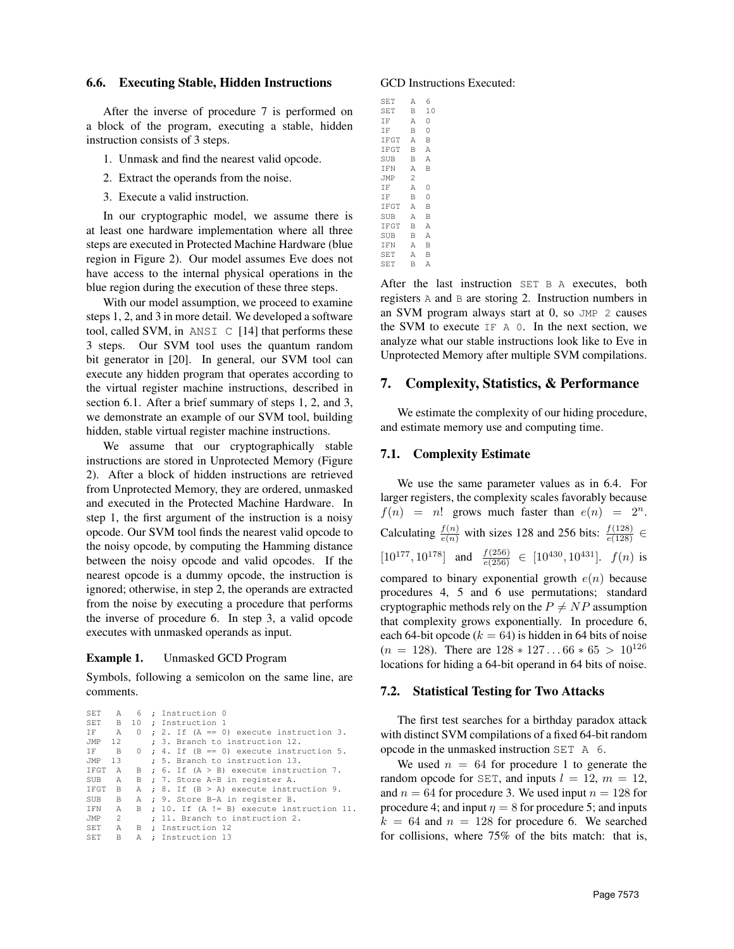#### 6.6. Executing Stable, Hidden Instructions

After the inverse of procedure 7 is performed on a block of the program, executing a stable, hidden instruction consists of 3 steps.

- 1. Unmask and find the nearest valid opcode.
- 2. Extract the operands from the noise.
- 3. Execute a valid instruction.

In our cryptographic model, we assume there is at least one hardware implementation where all three steps are executed in Protected Machine Hardware (blue region in Figure 2). Our model assumes Eve does not have access to the internal physical operations in the blue region during the execution of these three steps.

With our model assumption, we proceed to examine steps 1, 2, and 3 in more detail. We developed a software tool, called SVM, in ANSI  $\,$  C  $\,$  [14] that performs these 3 steps. Our SVM tool uses the quantum random bit generator in [20]. In general, our SVM tool can execute any hidden program that operates according to the virtual register machine instructions, described in section 6.1. After a brief summary of steps 1, 2, and 3, we demonstrate an example of our SVM tool, building hidden, stable virtual register machine instructions.

We assume that our cryptographically stable instructions are stored in Unprotected Memory (Figure 2). After a block of hidden instructions are retrieved from Unprotected Memory, they are ordered, unmasked and executed in the Protected Machine Hardware. In step 1, the first argument of the instruction is a noisy opcode. Our SVM tool finds the nearest valid opcode to the noisy opcode, by computing the Hamming distance between the noisy opcode and valid opcodes. If the nearest opcode is a dummy opcode, the instruction is ignored; otherwise, in step 2, the operands are extracted from the noise by executing a procedure that performs the inverse of procedure 6. In step 3, a valid opcode executes with unmasked operands as input.

#### Example 1. Unmasked GCD Program

Symbols, following a semicolon on the same line, are comments.

```
SET A 6 ; Instruction 0
SET B 10 ; Instruction 1
IF A 0 ; 2. If (A == 0) execute instruction 3.
JMP 12 : 3. Branch to instruction 12.
IF B 0 ; 4. If (B == 0) execute instruction 5.
JMP 13 ; 5. Branch to instruction 13.
IFGT A B ; 6. If (A > B) execute instruction 7.
SUB A B ; 7. Store A-B in register A.
IFGT B A ; 8. If (B > A) execute instruction 9.
SUB B A ; 9. Store B-A in register B.
IFN A B ; 10. If (A != B) execute instruction 11.
JMP 2 ; 11. Branch to instruction 2.<br>SET A B : Instruction 12
         B ; Instruction 12
SET B A ; Instruction 13
```
#### GCD Instructions Executed:

| SET  | Α | 6  |  |
|------|---|----|--|
| SET  | B | 10 |  |
| ΙF   | А | 0  |  |
| ΙF   | B | 0  |  |
| IFGT | А | B  |  |
| IFGT | B | Α  |  |
| SUB  | B | Α  |  |
| IFN  | Α | B  |  |
| JMP  | 2 |    |  |
| IF.  | Α | 0  |  |
| ΙF   | B | 0  |  |
| IFGT | А | B  |  |
| SUB  | А | В  |  |
| IFGT | B | Α  |  |
| SUB  | B | A  |  |
| IFN  | Α | B  |  |
| SET  | Α | В  |  |
| SET  | В | Α  |  |

After the last instruction SET B A executes, both registers A and B are storing 2. Instruction numbers in an SVM program always start at 0, so JMP 2 causes the SVM to execute IF A 0. In the next section, we analyze what our stable instructions look like to Eve in Unprotected Memory after multiple SVM compilations.

## 7. Complexity, Statistics, & Performance

We estimate the complexity of our hiding procedure, and estimate memory use and computing time.

#### 7.1. Complexity Estimate

We use the same parameter values as in 6.4. For larger registers, the complexity scales favorably because  $f(n) = n!$  grows much faster than  $e(n) = 2^n$ . Calculating  $\frac{f(n)}{e(n)}$  with sizes 128 and 256 bits:  $\frac{f(128)}{e(128)} \in$  $[10^{177}, 10^{178}]$  and  $\frac{f(256)}{e(256)} \in [10^{430}, 10^{431}]$ .  $f(n)$  is compared to binary exponential growth  $e(n)$  because procedures 4, 5 and 6 use permutations; standard cryptographic methods rely on the  $P \neq NP$  assumption that complexity grows exponentially. In procedure 6, each 64-bit opcode ( $k = 64$ ) is hidden in 64 bits of noise  $(n = 128)$ . There are  $128 * 127 \dots 66 * 65 > 10^{126}$ locations for hiding a 64-bit operand in 64 bits of noise.

#### 7.2. Statistical Testing for Two Attacks

The first test searches for a birthday paradox attack with distinct SVM compilations of a fixed 64-bit random opcode in the unmasked instruction SET A 6.

We used  $n = 64$  for procedure 1 to generate the random opcode for SET, and inputs  $l = 12$ ,  $m = 12$ , and  $n = 64$  for procedure 3. We used input  $n = 128$  for procedure 4; and input  $\eta = 8$  for procedure 5; and inputs  $k = 64$  and  $n = 128$  for procedure 6. We searched for collisions, where 75% of the bits match: that is,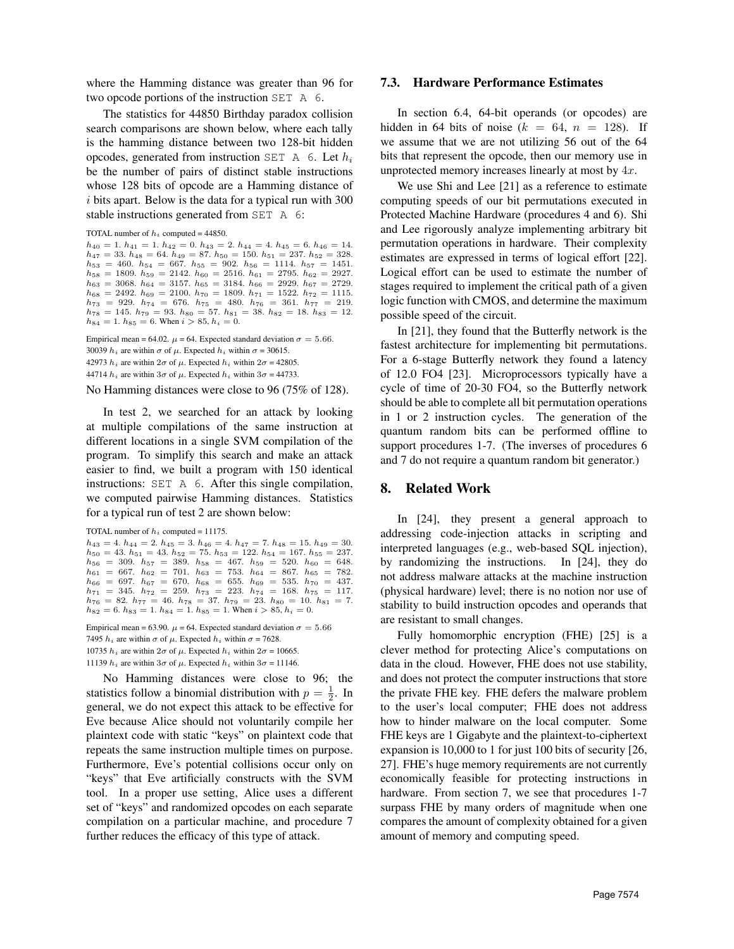where the Hamming distance was greater than 96 for two opcode portions of the instruction SET A 6.

The statistics for 44850 Birthday paradox collision search comparisons are shown below, where each tally is the hamming distance between two 128-bit hidden opcodes, generated from instruction SET A 6. Let  $h_i$ be the number of pairs of distinct stable instructions whose 128 bits of opcode are a Hamming distance of  $i$  bits apart. Below is the data for a typical run with 300 stable instructions generated from SET A 6:

```
TOTAL number of h_i computed = 44850.
```

```
h_{40} = 1. h_{41} = 1. h_{42} = 0. h_{43} = 2. h_{44} = 4. h_{45} = 6. h_{46} = 14.h_{47} = 33. h_{48} = 64. h_{49} = 87. h_{50} = 150. h_{51} = 237. h_{52} = 328.<br>
h_{53} = 460. h_{54} = 667. h_{55} = 902. h_{56} = 1114. h_{57} = 1451.h_{58} = 1809. h_{59} = 2142. h_{60} = 2516. h_{61} = 2795. h_{62} = 2927. h_{63} = 3068. h_{64} = 3157. h_{65} = 3184. h_{66} = 2929. h_{67} = 2729.h_{68} = 2492. h_{69} = 2100. h_{70} = 1809. h_{71} = 1522. h_{72} = 1115.h_{73} = 929. h_{74} = 676. h_{75} = 480. h_{76} = 361. h_{77} = 219.h_{78} = 145. h_{79} = 93. h_{80} = 57. h_{81} = 38. h_{82} = 18. h_{83} = 12.h_{84} = 1. h_{85} = 6. When i > 85, h_i = 0.
```
Empirical mean = 64.02.  $\mu$  = 64. Expected standard deviation  $\sigma$  = 5.66.  $h_i$  are within  $\sigma$  of  $\mu$ . Expected  $h_i$  within  $\sigma$  = 30615.  $h_i$  are within  $2\sigma$  of  $\mu$ . Expected  $h_i$  within  $2\sigma$  = 42805.  $h_i$  are within  $3\sigma$  of  $\mu$ . Expected  $h_i$  within  $3\sigma = 44733$ .

No Hamming distances were close to 96 (75% of 128).

In test 2, we searched for an attack by looking at multiple compilations of the same instruction at different locations in a single SVM compilation of the program. To simplify this search and make an attack easier to find, we built a program with 150 identical instructions: SET A 6. After this single compilation, we computed pairwise Hamming distances. Statistics for a typical run of test 2 are shown below:

```
TOTAL number of h_i computed = 11175.
```

```
h_{43} = 4. h_{44} = 2. h_{45} = 3. h_{46} = 4. h_{47} = 7. h_{48} = 15. h_{49} = 30.h_{50} = 43. h_{51} = 43. h_{52} = 75. h_{53} = 122. h_{54} = 167. h_{55} = 237.h_{56} = 309. h_{57} = 389. h_{58} = 467. h_{59} = 520. h_{60} = 648.h_{61} = 667. h_{62} = 701. h_{63} = 753. h_{64} = 867. h_{65} = 782.h_{66} = 697. h_{67} = 670. h_{68} = 655. h_{69} = 535. h_{70} = 437.h_{71} = 345. h_{72} = 259. h_{73} = 223. h_{74} = 168. h_{75} = 117.
h_{76} = 82. h_{77} = 46. h_{78} = 37. h_{79} = 23. h_{80} = 10. h_{81} = 7.h_{82} = 6. h_{83} = 1. h_{84} = 1. h_{85} = 1. When i > 85, h_i = 0.
```

```
Empirical mean = 63.90. \mu = 64. Expected standard deviation \sigma = 5.667495 h_i are within \sigma of \mu. Expected h_i within \sigma = 7628.
10735 h_i are within 2\sigma of \mu. Expected h_i within 2\sigma = 10665.
11139 h_i are within 3\sigma of \mu. Expected h_i within 3\sigma = 11146.
```
No Hamming distances were close to 96; the statistics follow a binomial distribution with  $p = \frac{1}{2}$ . In general, we do not expect this attack to be effective for Eve because Alice should not voluntarily compile her plaintext code with static "keys" on plaintext code that repeats the same instruction multiple times on purpose. Furthermore, Eve's potential collisions occur only on "keys" that Eve artificially constructs with the SVM tool. In a proper use setting, Alice uses a different set of "keys" and randomized opcodes on each separate compilation on a particular machine, and procedure 7 further reduces the efficacy of this type of attack.

# 7.3. Hardware Performance Estimates

In section 6.4, 64-bit operands (or opcodes) are hidden in 64 bits of noise ( $k = 64$ ,  $n = 128$ ). If we assume that we are not utilizing 56 out of the 64 bits that represent the opcode, then our memory use in unprotected memory increases linearly at most by 4x.

We use Shi and Lee [21] as a reference to estimate computing speeds of our bit permutations executed in Protected Machine Hardware (procedures 4 and 6). Shi and Lee rigorously analyze implementing arbitrary bit permutation operations in hardware. Their complexity estimates are expressed in terms of logical effort [22]. Logical effort can be used to estimate the number of stages required to implement the critical path of a given logic function with CMOS, and determine the maximum possible speed of the circuit.

In [21], they found that the Butterfly network is the fastest architecture for implementing bit permutations. For a 6-stage Butterfly network they found a latency of 12.0 FO4 [23]. Microprocessors typically have a cycle of time of 20-30 FO4, so the Butterfly network should be able to complete all bit permutation operations in 1 or 2 instruction cycles. The generation of the quantum random bits can be performed offline to support procedures 1-7. (The inverses of procedures 6 and 7 do not require a quantum random bit generator.)

# 8. Related Work

In [24], they present a general approach to addressing code-injection attacks in scripting and interpreted languages (e.g., web-based SQL injection), by randomizing the instructions. In [24], they do not address malware attacks at the machine instruction (physical hardware) level; there is no notion nor use of stability to build instruction opcodes and operands that are resistant to small changes.

Fully homomorphic encryption (FHE) [25] is a clever method for protecting Alice's computations on data in the cloud. However, FHE does not use stability, and does not protect the computer instructions that store the private FHE key. FHE defers the malware problem to the user's local computer; FHE does not address how to hinder malware on the local computer. Some FHE keys are 1 Gigabyte and the plaintext-to-ciphertext expansion is 10,000 to 1 for just 100 bits of security [26, 27]. FHE's huge memory requirements are not currently economically feasible for protecting instructions in hardware. From section 7, we see that procedures 1-7 surpass FHE by many orders of magnitude when one compares the amount of complexity obtained for a given amount of memory and computing speed.